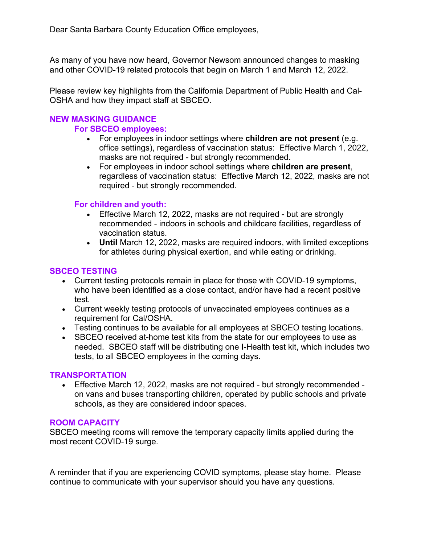As many of you have now heard, Governor Newsom announced changes to masking and other COVID-19 related protocols that begin on March 1 and March 12, 2022.

Please review key highlights from the California Department of Public Health and Cal-OSHA and how they impact staff at SBCEO.

# **NEW MASKING GUIDANCE**

#### **For SBCEO employees:**

- For employees in indoor settings where **children are not present** (e.g. office settings), regardless of vaccination status: Effective March 1, 2022, masks are not required - but strongly recommended.
- For employees in indoor school settings where **children are present**, regardless of vaccination status: Effective March 12, 2022, masks are not required - but strongly recommended.

# **For children and youth:**

- Effective March 12, 2022, masks are not required but are strongly recommended - indoors in schools and childcare facilities, regardless of vaccination status.
- **Until** March 12, 2022, masks are required indoors, with limited exceptions for athletes during physical exertion, and while eating or drinking.

# **SBCEO TESTING**

- Current testing protocols remain in place for those with COVID-19 symptoms, who have been identified as a close contact, and/or have had a recent positive test.
- Current weekly testing protocols of unvaccinated employees continues as a requirement for Cal/OSHA.
- Testing continues to be available for all employees at SBCEO testing locations.
- SBCEO received at-home test kits from the state for our employees to use as needed. SBCEO staff will be distributing one I-Health test kit, which includes two tests, to all SBCEO employees in the coming days.

# **TRANSPORTATION**

• Effective March 12, 2022, masks are not required - but strongly recommended on vans and buses transporting children, operated by public schools and private schools, as they are considered indoor spaces.

# **ROOM CAPACITY**

SBCEO meeting rooms will remove the temporary capacity limits applied during the most recent COVID-19 surge.

A reminder that if you are experiencing COVID symptoms, please stay home. Please continue to communicate with your supervisor should you have any questions.